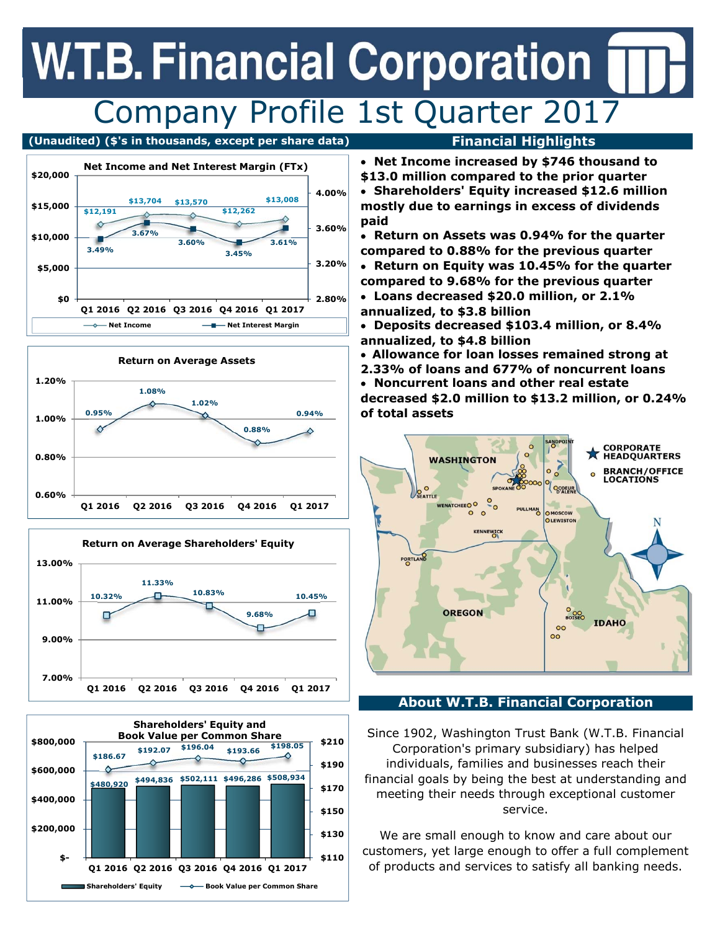## **W.T.B. Financial Corporation** Company Profile 1st Quarter 2017

### **(Unaudited) (\$'s in thousands, except per share data) Financial Highlights**









- **Net Income increased by \$746 thousand to \$13.0 million compared to the prior quarter**
- **Shareholders' Equity increased \$12.6 million mostly due to earnings in excess of dividends paid**
- **Return on Assets was 0.94% for the quarter compared to 0.88% for the previous quarter**
- **Return on Equity was 10.45% for the quarter compared to 9.68% for the previous quarter**
- **Loans decreased \$20.0 million, or 2.1% annualized, to \$3.8 billion**
- **Deposits decreased \$103.4 million, or 8.4% annualized, to \$4.8 billion**
- **Allowance for loan losses remained strong at**
- **2.33% of loans and 677% of noncurrent loans Noncurrent loans and other real estate decreased \$2.0 million to \$13.2 million, or 0.24% of total assets**



### **About W.T.B. Financial Corporation**

 Since 1902, Washington Trust Bank (W.T.B. Financial Corporation's primary subsidiary) has helped individuals, families and businesses reach their financial goals by being the best at understanding and meeting their needs through exceptional customer service.

 We are small enough to know and care about our of products and services to satisfy all banking needs. customers, yet large enough to offer a full complement